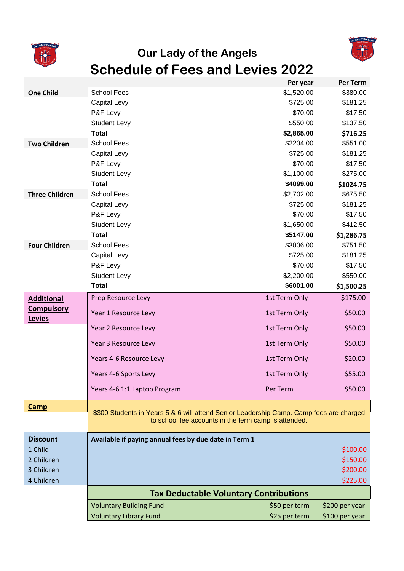



## **Our Lady of the Angels Schedule of Fees and Levies 2022**

|                       |                                                                                                                                                 | Per year      | <b>Per Term</b> |
|-----------------------|-------------------------------------------------------------------------------------------------------------------------------------------------|---------------|-----------------|
| <b>One Child</b>      | <b>School Fees</b>                                                                                                                              | \$1,520.00    | \$380.00        |
|                       | Capital Levy                                                                                                                                    | \$725.00      | \$181.25        |
|                       | P&F Levy                                                                                                                                        | \$70.00       | \$17.50         |
|                       | <b>Student Levy</b>                                                                                                                             | \$550.00      | \$137.50        |
|                       | <b>Total</b>                                                                                                                                    | \$2,865.00    | \$716.25        |
| <b>Two Children</b>   | <b>School Fees</b>                                                                                                                              | \$2204.00     | \$551.00        |
|                       | Capital Levy                                                                                                                                    | \$725.00      | \$181.25        |
|                       | P&F Levy                                                                                                                                        | \$70.00       | \$17.50         |
|                       | <b>Student Levy</b>                                                                                                                             | \$1,100.00    | \$275.00        |
|                       | <b>Total</b>                                                                                                                                    | \$4099.00     | \$1024.75       |
| <b>Three Children</b> | <b>School Fees</b>                                                                                                                              | \$2,702.00    | \$675.50        |
|                       | Capital Levy                                                                                                                                    | \$725.00      | \$181.25        |
|                       | P&F Levy                                                                                                                                        | \$70.00       | \$17.50         |
|                       | <b>Student Levy</b>                                                                                                                             | \$1,650.00    | \$412.50        |
|                       | <b>Total</b>                                                                                                                                    | \$5147.00     | \$1,286.75      |
| <b>Four Children</b>  | <b>School Fees</b>                                                                                                                              | \$3006.00     | \$751.50        |
|                       | Capital Levy                                                                                                                                    | \$725.00      | \$181.25        |
|                       | P&F Levy                                                                                                                                        | \$70.00       | \$17.50         |
|                       | <b>Student Levy</b>                                                                                                                             | \$2,200.00    | \$550.00        |
|                       | <b>Total</b>                                                                                                                                    | \$6001.00     | \$1,500.25      |
| <b>Additional</b>     | Prep Resource Levy                                                                                                                              | 1st Term Only | \$175.00        |
| <b>Compulsory</b>     | Year 1 Resource Levy                                                                                                                            | 1st Term Only | \$50.00         |
| <b>Levies</b>         |                                                                                                                                                 |               |                 |
|                       | Year 2 Resource Levy                                                                                                                            | 1st Term Only | \$50.00         |
|                       | Year 3 Resource Levy                                                                                                                            | 1st Term Only | \$50.00         |
|                       | Years 4-6 Resource Levy                                                                                                                         | 1st Term Only | \$20.00         |
|                       | Years 4-6 Sports Levy                                                                                                                           | 1st Term Only | \$55.00         |
|                       | Years 4-6 1:1 Laptop Program                                                                                                                    | Per Term      | \$50.00         |
| Camp                  |                                                                                                                                                 |               |                 |
|                       | \$300 Students in Years 5 & 6 will attend Senior Leadership Camp. Camp fees are charged<br>to school fee accounts in the term camp is attended. |               |                 |
|                       |                                                                                                                                                 |               |                 |
| <b>Discount</b>       | Available if paying annual fees by due date in Term 1                                                                                           |               |                 |
| 1 Child               |                                                                                                                                                 |               | \$100.00        |
| 2 Children            |                                                                                                                                                 |               | \$150.00        |
| 3 Children            |                                                                                                                                                 |               | \$200.00        |
| 4 Children            |                                                                                                                                                 |               | \$225.00        |
|                       | <b>Tax Deductable Voluntary Contributions</b>                                                                                                   |               |                 |
|                       | <b>Voluntary Building Fund</b>                                                                                                                  | \$50 per term | \$200 per year  |
|                       | <b>Voluntary Library Fund</b>                                                                                                                   | \$25 per term | \$100 per year  |